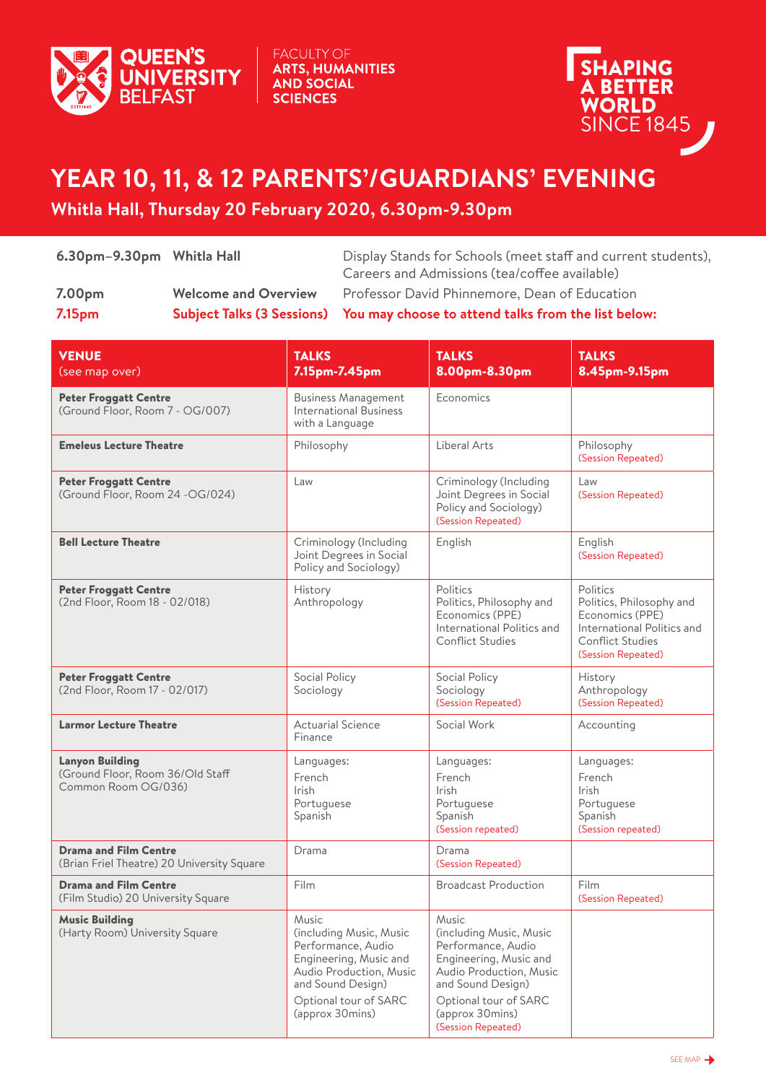

**FACULTY OF ARTS, HUMANITIES AND SOCIAL SCIENCES** 



## **YEAR 10, 11, & 12 PARENTS'/GUARDIANS' EVENING**

## **Whitla Hall, Thursday 20 February 2020, 6.30pm-9.30pm**

| 7.00 <sub>pm</sub> | <b>Welcome and Overview</b> | Careers and Admissions (tea/coffee available)<br>Professor David Phinnemore, Dean of Education |
|--------------------|-----------------------------|------------------------------------------------------------------------------------------------|
| 7.15 <sub>pm</sub> |                             | Subject Talks (3 Sessions) You may choose to attend talks from the list below:                 |

| <b>VENUE</b><br>(see map over)                                                    | <b>TALKS</b><br>7.15pm-7.45pm                                                                                                                                                | <b>TALKS</b><br>8.00pm-8.30pm                                                                                                                                                                      | <b>TALKS</b><br>8.45pm-9.15pm                                                                                                          |
|-----------------------------------------------------------------------------------|------------------------------------------------------------------------------------------------------------------------------------------------------------------------------|----------------------------------------------------------------------------------------------------------------------------------------------------------------------------------------------------|----------------------------------------------------------------------------------------------------------------------------------------|
| <b>Peter Froggatt Centre</b><br>(Ground Floor, Room 7 - OG/007)                   | <b>Business Management</b><br><b>International Business</b><br>with a Language                                                                                               | Economics                                                                                                                                                                                          |                                                                                                                                        |
| <b>Emeleus Lecture Theatre</b>                                                    | Philosophy                                                                                                                                                                   | Liberal Arts                                                                                                                                                                                       | Philosophy<br>(Session Repeated)                                                                                                       |
| <b>Peter Froggatt Centre</b><br>(Ground Floor, Room 24 -OG/024)                   | Law                                                                                                                                                                          | Criminology (Including<br>Joint Degrees in Social<br>Policy and Sociology)<br>(Session Repeated)                                                                                                   | Law<br>(Session Repeated)                                                                                                              |
| <b>Bell Lecture Theatre</b>                                                       | Criminology (Including<br>Joint Degrees in Social<br>Policy and Sociology)                                                                                                   | English                                                                                                                                                                                            | English<br>(Session Repeated)                                                                                                          |
| <b>Peter Froggatt Centre</b><br>(2nd Floor, Room 18 - 02/018)                     | History<br>Anthropology                                                                                                                                                      | Politics<br>Politics, Philosophy and<br>Economics (PPE)<br>International Politics and<br>Conflict Studies                                                                                          | Politics<br>Politics, Philosophy and<br>Economics (PPE)<br>International Politics and<br><b>Conflict Studies</b><br>(Session Repeated) |
| <b>Peter Froggatt Centre</b><br>(2nd Floor, Room 17 - 02/017)                     | Social Policy<br>Sociology                                                                                                                                                   | Social Policy<br>Sociology<br>(Session Repeated)                                                                                                                                                   | History<br>Anthropology<br>(Session Repeated)                                                                                          |
| <b>Larmor Lecture Theatre</b>                                                     | <b>Actuarial Science</b><br>Finance                                                                                                                                          | Social Work                                                                                                                                                                                        | Accounting                                                                                                                             |
| <b>Lanyon Building</b><br>(Ground Floor, Room 36/Old Staff<br>Common Room OG/036) | Languages:<br>French<br>Irish<br>Portuguese<br>Spanish                                                                                                                       | Languages:<br>French<br><b>Irish</b><br>Portuguese<br>Spanish<br>(Session repeated)                                                                                                                | Languages:<br>French<br><b>Irish</b><br>Portuguese<br>Spanish<br>(Session repeated)                                                    |
| <b>Drama and Film Centre</b><br>(Brian Friel Theatre) 20 University Square        | Drama                                                                                                                                                                        | Drama<br>(Session Repeated)                                                                                                                                                                        |                                                                                                                                        |
| <b>Drama and Film Centre</b><br>(Film Studio) 20 University Square                | Film                                                                                                                                                                         | <b>Broadcast Production</b>                                                                                                                                                                        | Film<br>(Session Repeated)                                                                                                             |
| <b>Music Building</b><br>(Harty Room) University Square                           | Music<br>(including Music, Music<br>Performance, Audio<br>Engineering, Music and<br>Audio Production, Music<br>and Sound Design)<br>Optional tour of SARC<br>(approx 30mins) | Music<br>(including Music, Music<br>Performance, Audio<br>Engineering, Music and<br>Audio Production, Music<br>and Sound Design)<br>Optional tour of SARC<br>(approx 30mins)<br>(Session Repeated) |                                                                                                                                        |